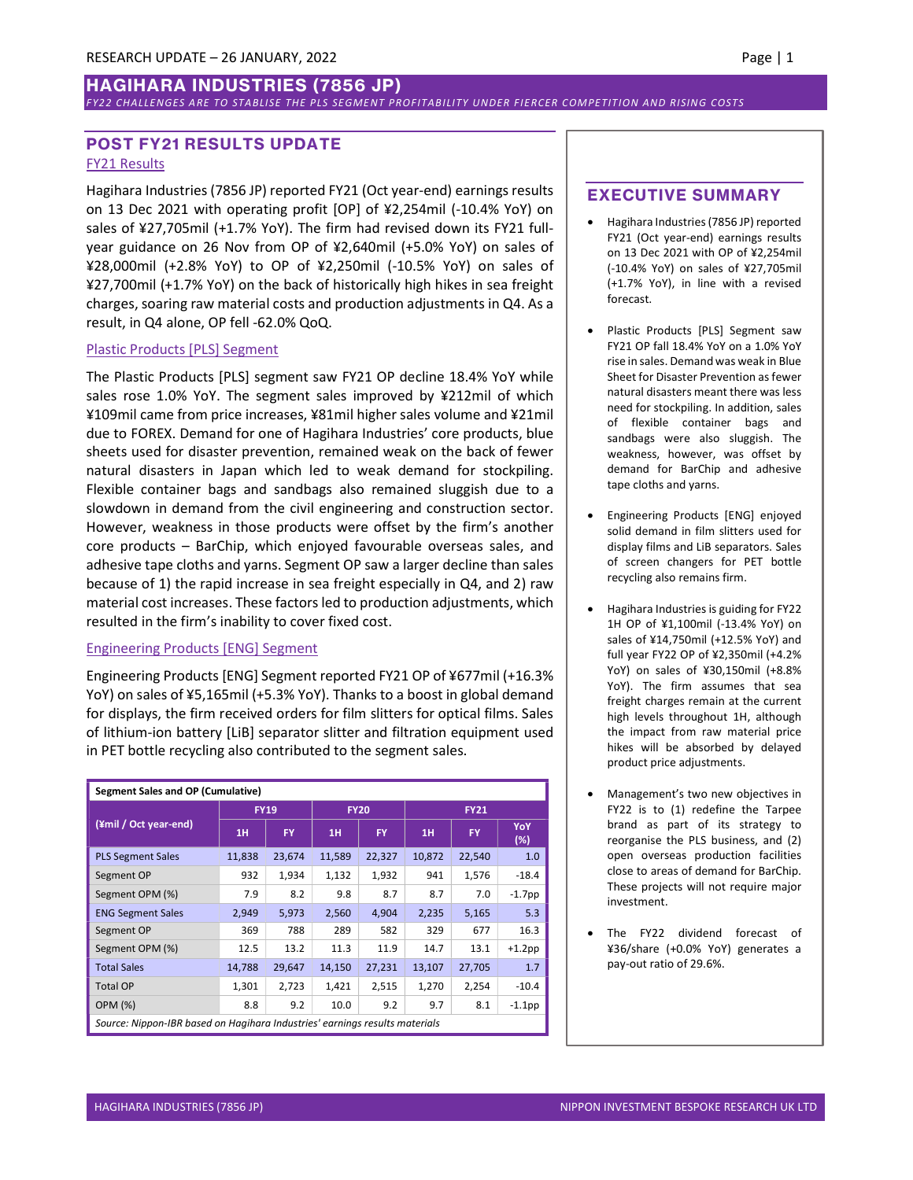# HAGIHARA INDUSTRIES (7856 JP)

#### FY22 CHALLENGES ARE TO STABLISE THE PLS SEGMENT PROFITABILITY UNDER FIERCER COMPETITION AND RISING COSTS

## POST FY21 RESULTS UPDATE FY21 Results

Hagihara Industries (7856 JP) reported FY21 (Oct year-end) earnings results on 13 Dec 2021 with operating profit [OP] of ¥2,254mil (-10.4% YoY) on sales of ¥27,705mil (+1.7% YoY). The firm had revised down its FY21 fullyear guidance on 26 Nov from OP of ¥2,640mil (+5.0% YoY) on sales of ¥28,000mil (+2.8% YoY) to OP of ¥2,250mil (-10.5% YoY) on sales of ¥27,700mil (+1.7% YoY) on the back of historically high hikes in sea freight charges, soaring raw material costs and production adjustments in Q4. As a result, in Q4 alone, OP fell -62.0% QoQ.

## Plastic Products [PLS] Segment

The Plastic Products [PLS] segment saw FY21 OP decline 18.4% YoY while sales rose 1.0% YoY. The segment sales improved by ¥212mil of which ¥109mil came from price increases, ¥81mil higher sales volume and ¥21mil due to FOREX. Demand for one of Hagihara Industries' core products, blue sheets used for disaster prevention, remained weak on the back of fewer natural disasters in Japan which led to weak demand for stockpiling. Flexible container bags and sandbags also remained sluggish due to a slowdown in demand from the civil engineering and construction sector. However, weakness in those products were offset by the firm's another core products – BarChip, which enjoyed favourable overseas sales, and adhesive tape cloths and yarns. Segment OP saw a larger decline than sales because of 1) the rapid increase in sea freight especially in Q4, and 2) raw material cost increases. These factors led to production adjustments, which resulted in the firm's inability to cover fixed cost.

#### Engineering Products [ENG] Segment

Engineering Products [ENG] Segment reported FY21 OP of ¥677mil (+16.3% YoY) on sales of ¥5,165mil (+5.3% YoY). Thanks to a boost in global demand for displays, the firm received orders for film slitters for optical films. Sales of lithium-ion battery [LiB] separator slitter and filtration equipment used in PET bottle recycling also contributed to the segment sales.

| <b>Segment Sales and OP (Cumulative)</b>                                    |             |           |             |           |             |        |            |  |  |
|-----------------------------------------------------------------------------|-------------|-----------|-------------|-----------|-------------|--------|------------|--|--|
| (¥mil / Oct year-end)                                                       | <b>FY19</b> |           | <b>FY20</b> |           | <b>FY21</b> |        |            |  |  |
|                                                                             | 1H          | <b>FY</b> | 1H          | <b>FY</b> | 1H          | FY     | YoY<br>(%) |  |  |
| <b>PLS Segment Sales</b>                                                    | 11,838      | 23,674    | 11,589      | 22,327    | 10,872      | 22,540 | 1.0        |  |  |
| Segment OP                                                                  | 932         | 1,934     | 1,132       | 1,932     | 941         | 1,576  | $-18.4$    |  |  |
| Segment OPM (%)                                                             | 7.9         | 8.2       | 9.8         | 8.7       | 8.7         | 7.0    | $-1.7$ pp  |  |  |
| <b>ENG Segment Sales</b>                                                    | 2,949       | 5,973     | 2,560       | 4,904     | 2,235       | 5,165  | 5.3        |  |  |
| Segment OP                                                                  | 369         | 788       | 289         | 582       | 329         | 677    | 16.3       |  |  |
| Segment OPM (%)                                                             | 12.5        | 13.2      | 11.3        | 11.9      | 14.7        | 13.1   | $+1.2$ pp  |  |  |
| <b>Total Sales</b>                                                          | 14,788      | 29,647    | 14,150      | 27,231    | 13,107      | 27,705 | 1.7        |  |  |
| <b>Total OP</b>                                                             | 1,301       | 2,723     | 1,421       | 2,515     | 1,270       | 2,254  | $-10.4$    |  |  |
| <b>OPM (%)</b>                                                              | 8.8         | 9.2       | 10.0        | 9.2       | 9.7         | 8.1    | $-1.1$ pp  |  |  |
| Source: Nippon-IBR based on Hagihara Industries' earnings results materials |             |           |             |           |             |        |            |  |  |

### EXECUTIVE SUMMARY

- Hagihara Industries (7856 JP) reported FY21 (Oct year-end) earnings results on 13 Dec 2021 with OP of ¥2,254mil (-10.4% YoY) on sales of ¥27,705mil (+1.7% YoY), in line with a revised forecast.
- Plastic Products [PLS] Segment saw FY21 OP fall 18.4% YoY on a 1.0% YoY rise in sales. Demand was weak in Blue Sheet for Disaster Prevention as fewer natural disasters meant there was less need for stockpiling. In addition, sales of flexible container bags and sandbags were also sluggish. The weakness, however, was offset by demand for BarChip and adhesive tape cloths and yarns.
- Engineering Products [ENG] enjoyed solid demand in film slitters used for display films and LiB separators. Sales of screen changers for PET bottle recycling also remains firm.
- Hagihara Industries is guiding for FY22 1H OP of ¥1,100mil (-13.4% YoY) on sales of ¥14,750mil (+12.5% YoY) and full year FY22 OP of ¥2,350mil (+4.2% YoY) on sales of ¥30,150mil (+8.8% YoY). The firm assumes that sea freight charges remain at the current high levels throughout 1H, although the impact from raw material price hikes will be absorbed by delayed product price adjustments.
- Management's two new objectives in FY22 is to (1) redefine the Tarpee brand as part of its strategy to reorganise the PLS business, and (2) open overseas production facilities close to areas of demand for BarChip. These projects will not require major investment.
- The FY22 dividend forecast of ¥36/share (+0.0% YoY) generates a pay-out ratio of 29.6%.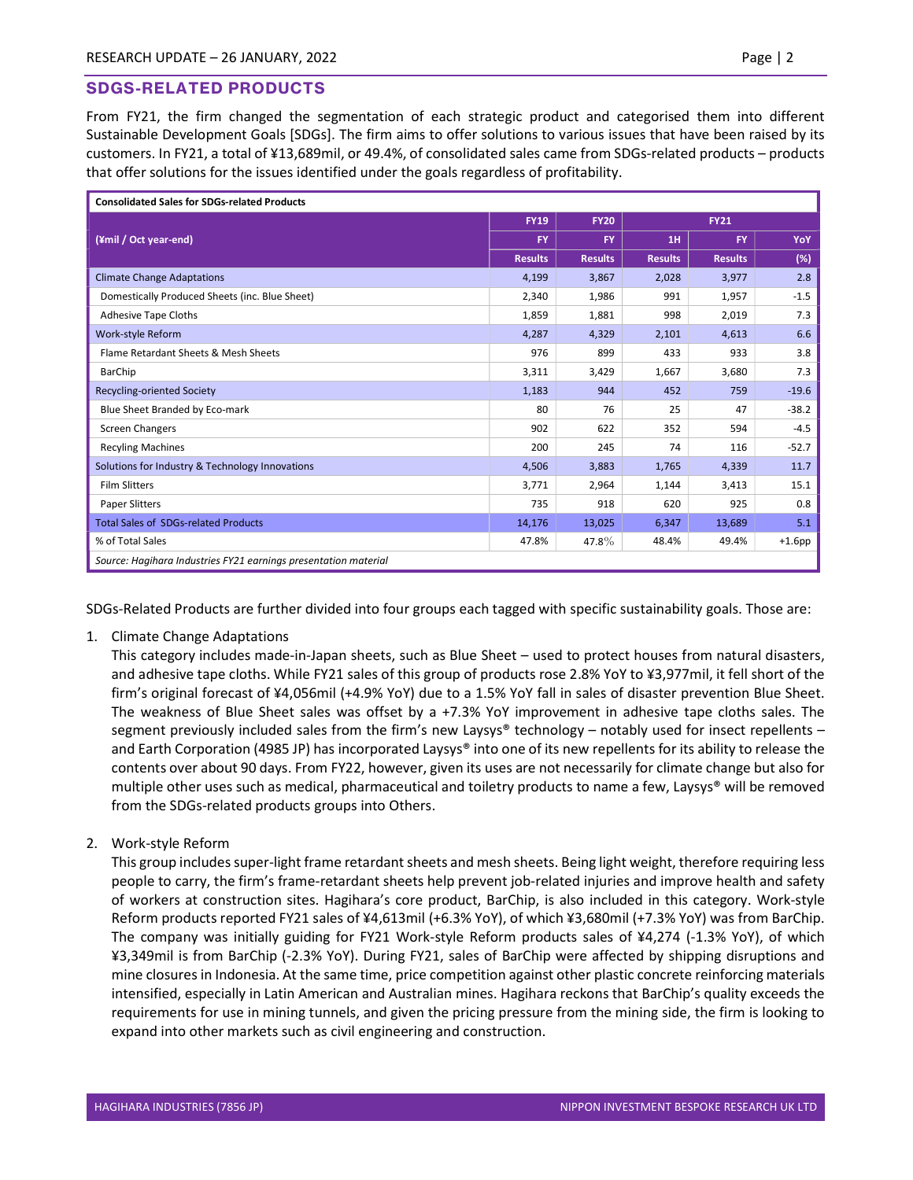## SDGS-RELATED PRODUCTS

From FY21, the firm changed the segmentation of each strategic product and categorised them into different Sustainable Development Goals [SDGs]. The firm aims to offer solutions to various issues that have been raised by its customers. In FY21, a total of ¥13,689mil, or 49.4%, of consolidated sales came from SDGs-related products – products that offer solutions for the issues identified under the goals regardless of profitability.

| <b>Consolidated Sales for SDGs-related Products</b>             |                |                |                |                |           |  |  |  |
|-----------------------------------------------------------------|----------------|----------------|----------------|----------------|-----------|--|--|--|
|                                                                 | <b>FY19</b>    | <b>FY20</b>    | <b>FY21</b>    |                |           |  |  |  |
| (¥mil / Oct year-end)                                           | <b>FY</b>      | <b>FY</b>      | 1H             | <b>FY</b>      | YoY       |  |  |  |
|                                                                 | <b>Results</b> | <b>Results</b> | <b>Results</b> | <b>Results</b> | (%)       |  |  |  |
| <b>Climate Change Adaptations</b>                               | 4,199          | 3,867          | 2,028          | 3,977          | 2.8       |  |  |  |
| Domestically Produced Sheets (inc. Blue Sheet)                  | 2,340          | 1,986          | 991            | 1,957          | $-1.5$    |  |  |  |
| <b>Adhesive Tape Cloths</b>                                     | 1,859          | 1,881          | 998            | 2,019          | 7.3       |  |  |  |
| Work-style Reform                                               | 4,287          | 4,329          | 2,101          | 4,613          | 6.6       |  |  |  |
| Flame Retardant Sheets & Mesh Sheets                            | 976            | 899            | 433            | 933            | 3.8       |  |  |  |
| BarChip                                                         | 3,311          | 3,429          | 1,667          | 3,680          | 7.3       |  |  |  |
| <b>Recycling-oriented Society</b>                               | 1,183          | 944            | 452            | 759            | $-19.6$   |  |  |  |
| Blue Sheet Branded by Eco-mark                                  | 80             | 76             | 25             | 47             | $-38.2$   |  |  |  |
| <b>Screen Changers</b>                                          | 902            | 622            | 352            | 594            | $-4.5$    |  |  |  |
| <b>Recyling Machines</b>                                        | 200            | 245            | 74             | 116            | $-52.7$   |  |  |  |
| Solutions for Industry & Technology Innovations                 | 4,506          | 3,883          | 1,765          | 4,339          | 11.7      |  |  |  |
| <b>Film Slitters</b>                                            | 3,771          | 2,964          | 1,144          | 3,413          | 15.1      |  |  |  |
| Paper Slitters                                                  | 735            | 918            | 620            | 925            | 0.8       |  |  |  |
| <b>Total Sales of SDGs-related Products</b>                     | 14,176         | 13,025         | 6,347          | 13,689         | 5.1       |  |  |  |
| % of Total Sales                                                | 47.8%          | 47.8%          | 48.4%          | 49.4%          | $+1.6$ pp |  |  |  |
| Source: Hagihara Industries FY21 earnings presentation material |                |                |                |                |           |  |  |  |

SDGs-Related Products are further divided into four groups each tagged with specific sustainability goals. Those are:

1. Climate Change Adaptations

This category includes made-in-Japan sheets, such as Blue Sheet – used to protect houses from natural disasters, and adhesive tape cloths. While FY21 sales of this group of products rose 2.8% YoY to ¥3,977mil, it fell short of the firm's original forecast of ¥4,056mil (+4.9% YoY) due to a 1.5% YoY fall in sales of disaster prevention Blue Sheet. The weakness of Blue Sheet sales was offset by a +7.3% YoY improvement in adhesive tape cloths sales. The segment previously included sales from the firm's new Laysys® technology – notably used for insect repellents – and Earth Corporation (4985 JP) has incorporated Laysys® into one of its new repellents for its ability to release the contents over about 90 days. From FY22, however, given its uses are not necessarily for climate change but also for multiple other uses such as medical, pharmaceutical and toiletry products to name a few, Laysys® will be removed from the SDGs-related products groups into Others.

2. Work-style Reform

This group includes super-light frame retardant sheets and mesh sheets. Being light weight, therefore requiring less people to carry, the firm's frame-retardant sheets help prevent job-related injuries and improve health and safety of workers at construction sites. Hagihara's core product, BarChip, is also included in this category. Work-style Reform products reported FY21 sales of ¥4,613mil (+6.3% YoY), of which ¥3,680mil (+7.3% YoY) was from BarChip. The company was initially guiding for FY21 Work-style Reform products sales of ¥4,274 (-1.3% YoY), of which ¥3,349mil is from BarChip (-2.3% YoY). During FY21, sales of BarChip were affected by shipping disruptions and mine closures in Indonesia. At the same time, price competition against other plastic concrete reinforcing materials intensified, especially in Latin American and Australian mines. Hagihara reckons that BarChip's quality exceeds the requirements for use in mining tunnels, and given the pricing pressure from the mining side, the firm is looking to expand into other markets such as civil engineering and construction.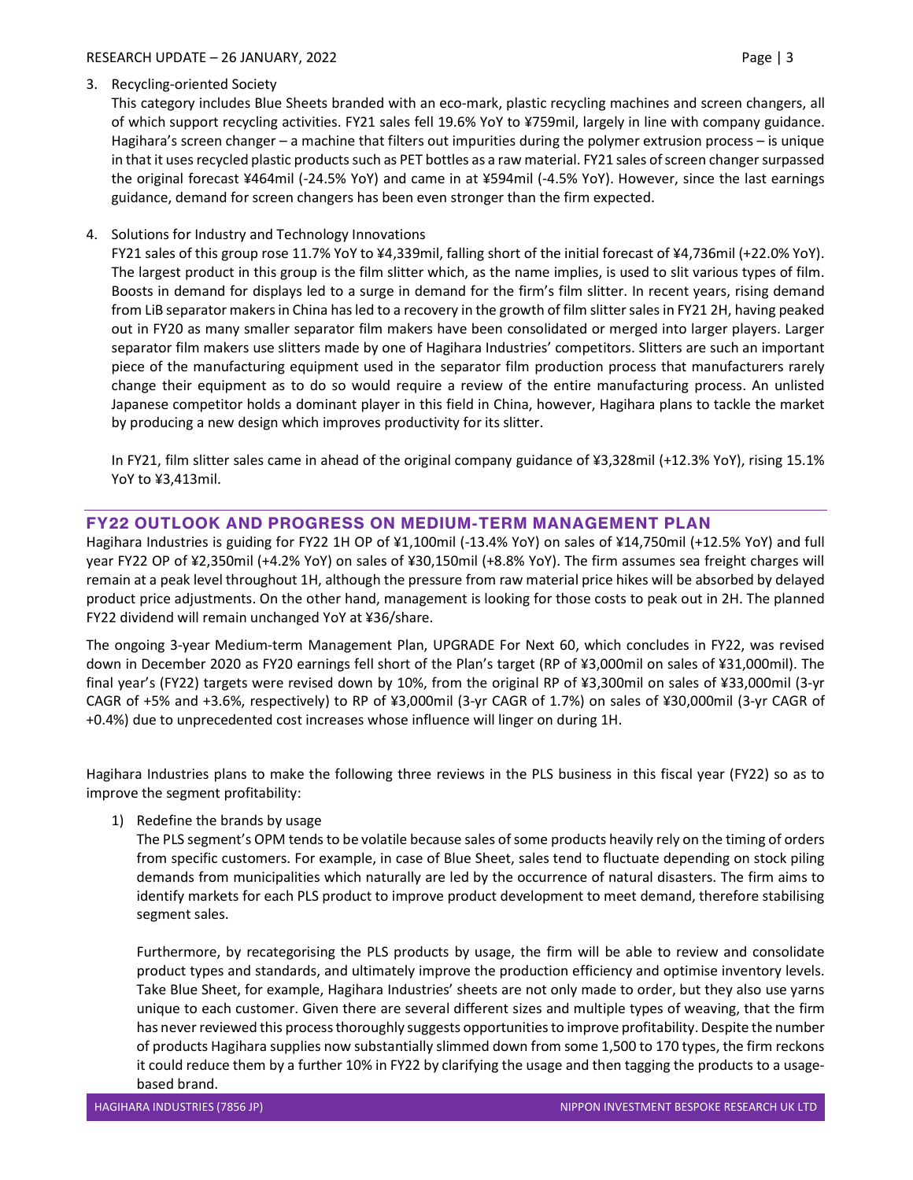#### RESEARCH UPDATE – 26 JANUARY, 2022 Page | 3

## 3. Recycling-oriented Society

This category includes Blue Sheets branded with an eco-mark, plastic recycling machines and screen changers, all of which support recycling activities. FY21 sales fell 19.6% YoY to ¥759mil, largely in line with company guidance. Hagihara's screen changer – a machine that filters out impurities during the polymer extrusion process – is unique in that it uses recycled plastic products such as PET bottles as a raw material. FY21 sales of screen changer surpassed the original forecast ¥464mil (-24.5% YoY) and came in at ¥594mil (-4.5% YoY). However, since the last earnings guidance, demand for screen changers has been even stronger than the firm expected.

## 4. Solutions for Industry and Technology Innovations

FY21 sales of this group rose 11.7% YoY to ¥4,339mil, falling short of the initial forecast of ¥4,736mil (+22.0% YoY). The largest product in this group is the film slitter which, as the name implies, is used to slit various types of film. Boosts in demand for displays led to a surge in demand for the firm's film slitter. In recent years, rising demand from LiB separator makers in China has led to a recovery in the growth of film slitter sales in FY21 2H, having peaked out in FY20 as many smaller separator film makers have been consolidated or merged into larger players. Larger separator film makers use slitters made by one of Hagihara Industries' competitors. Slitters are such an important piece of the manufacturing equipment used in the separator film production process that manufacturers rarely change their equipment as to do so would require a review of the entire manufacturing process. An unlisted Japanese competitor holds a dominant player in this field in China, however, Hagihara plans to tackle the market by producing a new design which improves productivity for its slitter.

In FY21, film slitter sales came in ahead of the original company guidance of ¥3,328mil (+12.3% YoY), rising 15.1% YoY to ¥3,413mil.

## FY22 OUTLOOK AND PROGRESS ON MEDIUM-TERM MANAGEMENT PLAN

Hagihara Industries is guiding for FY22 1H OP of ¥1,100mil (-13.4% YoY) on sales of ¥14,750mil (+12.5% YoY) and full year FY22 OP of ¥2,350mil (+4.2% YoY) on sales of ¥30,150mil (+8.8% YoY). The firm assumes sea freight charges will remain at a peak level throughout 1H, although the pressure from raw material price hikes will be absorbed by delayed product price adjustments. On the other hand, management is looking for those costs to peak out in 2H. The planned FY22 dividend will remain unchanged YoY at ¥36/share.

The ongoing 3-year Medium-term Management Plan, UPGRADE For Next 60, which concludes in FY22, was revised down in December 2020 as FY20 earnings fell short of the Plan's target (RP of ¥3,000mil on sales of ¥31,000mil). The final year's (FY22) targets were revised down by 10%, from the original RP of ¥3,300mil on sales of ¥33,000mil (3-yr CAGR of +5% and +3.6%, respectively) to RP of ¥3,000mil (3-yr CAGR of 1.7%) on sales of ¥30,000mil (3-yr CAGR of +0.4%) due to unprecedented cost increases whose influence will linger on during 1H.

Hagihara Industries plans to make the following three reviews in the PLS business in this fiscal year (FY22) so as to improve the segment profitability:

## 1) Redefine the brands by usage

The PLS segment's OPM tends to be volatile because sales of some products heavily rely on the timing of orders from specific customers. For example, in case of Blue Sheet, sales tend to fluctuate depending on stock piling demands from municipalities which naturally are led by the occurrence of natural disasters. The firm aims to identify markets for each PLS product to improve product development to meet demand, therefore stabilising segment sales.

Furthermore, by recategorising the PLS products by usage, the firm will be able to review and consolidate product types and standards, and ultimately improve the production efficiency and optimise inventory levels. Take Blue Sheet, for example, Hagihara Industries' sheets are not only made to order, but they also use yarns unique to each customer. Given there are several different sizes and multiple types of weaving, that the firm has never reviewed this process thoroughly suggests opportunities to improve profitability. Despite the number of products Hagihara supplies now substantially slimmed down from some 1,500 to 170 types, the firm reckons it could reduce them by a further 10% in FY22 by clarifying the usage and then tagging the products to a usagebased brand.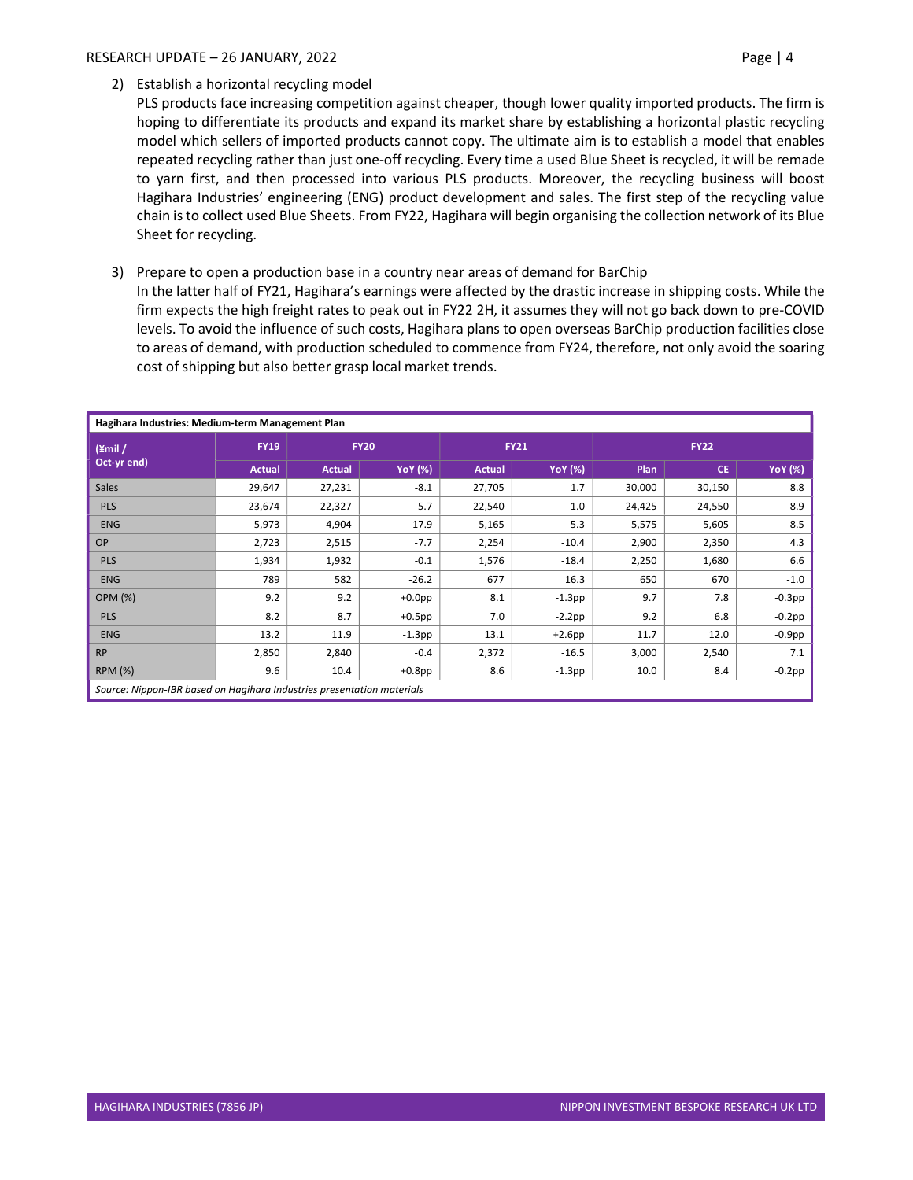#### RESEARCH UPDATE – 26 JANUARY, 2022 Page | 4

PLS products face increasing competition against cheaper, though lower quality imported products. The firm is hoping to differentiate its products and expand its market share by establishing a horizontal plastic recycling model which sellers of imported products cannot copy. The ultimate aim is to establish a model that enables repeated recycling rather than just one-off recycling. Every time a used Blue Sheet is recycled, it will be remade to yarn first, and then processed into various PLS products. Moreover, the recycling business will boost Hagihara Industries' engineering (ENG) product development and sales. The first step of the recycling value chain is to collect used Blue Sheets. From FY22, Hagihara will begin organising the collection network of its Blue Sheet for recycling.

3) Prepare to open a production base in a country near areas of demand for BarChip

In the latter half of FY21, Hagihara's earnings were affected by the drastic increase in shipping costs. While the firm expects the high freight rates to peak out in FY22 2H, it assumes they will not go back down to pre-COVID levels. To avoid the influence of such costs, Hagihara plans to open overseas BarChip production facilities close to areas of demand, with production scheduled to commence from FY24, therefore, not only avoid the soaring cost of shipping but also better grasp local market trends.

| Hagihara Industries: Medium-term Management Plan                       |               |               |                |               |                |             |           |                |  |  |
|------------------------------------------------------------------------|---------------|---------------|----------------|---------------|----------------|-------------|-----------|----------------|--|--|
| $(*mil/$<br>Oct-yr end)                                                | <b>FY19</b>   | <b>FY20</b>   |                | <b>FY21</b>   |                | <b>FY22</b> |           |                |  |  |
|                                                                        | <b>Actual</b> | <b>Actual</b> | <b>YoY</b> (%) | <b>Actual</b> | <b>YoY</b> (%) | Plan        | <b>CE</b> | <b>YoY</b> (%) |  |  |
| <b>Sales</b>                                                           | 29,647        | 27,231        | $-8.1$         | 27,705        | 1.7            | 30,000      | 30,150    | 8.8            |  |  |
| <b>PLS</b>                                                             | 23,674        | 22,327        | $-5.7$         | 22,540        | 1.0            | 24,425      | 24,550    | 8.9            |  |  |
| <b>ENG</b>                                                             | 5,973         | 4,904         | $-17.9$        | 5,165         | 5.3            | 5,575       | 5,605     | 8.5            |  |  |
| <b>OP</b>                                                              | 2,723         | 2,515         | $-7.7$         | 2,254         | $-10.4$        | 2,900       | 2,350     | 4.3            |  |  |
| PLS                                                                    | 1,934         | 1,932         | $-0.1$         | 1,576         | $-18.4$        | 2,250       | 1,680     | 6.6            |  |  |
| <b>ENG</b>                                                             | 789           | 582           | $-26.2$        | 677           | 16.3           | 650         | 670       | $-1.0$         |  |  |
| <b>OPM (%)</b>                                                         | 9.2           | 9.2           | $+0.0$ pp      | 8.1           | $-1.3$ pp      | 9.7         | 7.8       | $-0.3$ pp      |  |  |
| <b>PLS</b>                                                             | 8.2           | 8.7           | $+0.5$ pp      | 7.0           | $-2.2$ pp      | 9.2         | 6.8       | $-0.2$ pp      |  |  |
| <b>ENG</b>                                                             | 13.2          | 11.9          | $-1.3$ pp      | 13.1          | $+2.6$ pp      | 11.7        | 12.0      | $-0.9$ pp      |  |  |
| <b>RP</b>                                                              | 2,850         | 2,840         | $-0.4$         | 2,372         | $-16.5$        | 3,000       | 2,540     | 7.1            |  |  |
| <b>RPM (%)</b>                                                         | 9.6           | 10.4          | $+0.8$ pp      | 8.6           | $-1.3$ pp      | 10.0        | 8.4       | $-0.2$ pp      |  |  |
| Source: Nippon-IBR based on Hagihara Industries presentation materials |               |               |                |               |                |             |           |                |  |  |